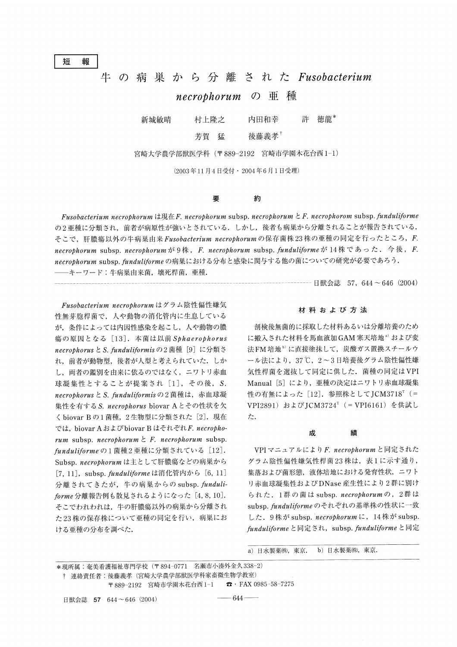短 報

# 牛 の 病 巣 か ら 分 離 さ れ たFusobacterium

# necrophorum の 亜 種

新城敏晴 村上隆之 内田和幸 許 徳龍\*

芳賀 猛 後藤義孝

宮崎大学農学部獣医学科(〒889-2192 宮崎市学園木花台西1-1)

(2003年11月4日 受付 ・2004年6月1日 受理)

#### 要 約

Fusobacterium necrophorum は現在F. necrophorum subsp. necrophorum  $\&$  F. necrophorom subsp. funduliforme の2亜種に分類され、前者が病原性が強いとされている. しかし、後者も病巣から分離されることが報告されている. そこで、肝膿瘍以外の牛病巣由来 Fusobacterium necrophorum の保存菌株 23株の亜種の同定を行ったところ, F. necrophorum subsp. necrophorumが9株, F. necrophorum subsp. funduliformeが14株であった. 今後, F. necrophorum subsp. funduliforme の病巣における分布と感染に関与する他の菌についての研究が必要であろう. -キーワード:牛病巣由来菌,壊死桿菌,亜種.

 $-----$  日獣会誌 57, 644 ~ 646 (2004)

Fusobacterium necrophorumはグラム陰性偏性嫌気 性無芽胞桿菌で、人や動物の消化管内に生息している が、条件によっては内因性感染を起こし、人や動物の膿 瘍 の 原 因 と な る[13].本 菌 は 以 前Sphaerophorus necrophorusとS.funduliformisの2菌種[9]に分類さ れ、前者が動物型,後者が人型と考えられていた. しか し、両者の鑑別を由来に依るのではなく、ニワトリ赤血 球凝集性とすることが提案され $[1]$ , その後, S. necrophorus と S. funduliformisの2菌種は、赤血球凝 集性を有する S. necrophorus biovar Aとその性状を欠 く biovar Bの1菌種, 2生物型に分類された [2]. 現在 では, biovar A および biovar B はそれぞれF. necrophorum subsp. necrophorum  $\angle$  F. necrophorum subsp. funduliformeの1菌種2亜種に分類されている [12]. Subsp. necrophorumは主として肝膿瘍などの病巣から [7, 11], subsp. funduliforme は消 化管内から [6, 11] 分離されてきたが、牛の病巣からの subsp. funduli $for me$  分離報告例も散見されるようになった [4,8,10]. そこでわれわれは、牛の肝膿瘍以外の病巣から分離され た23株の保存株について亜種の同定を行い、病巣にお ける亜種の分布を調べた.

### 材 料 お よ び 方 法

剖検後無菌的に採取した材料あるいは分離培養のため に搬入された材料を馬血液加 GAM 寒天培地<sup>a)</sup> および変 法FM培地<sup>b)</sup>に直接塗抹して、炭酸ガス置換スチールウ ール法により, 37℃, 2~3日培養後グラム陰性偏性嫌 気性桿菌を選抜して同定に供した. 菌種の同定はVPI Manual [5] により, 亜種の決定はニワトリ赤血球凝集 性の有無によった [12]. 参照株としてJCM3718<sup>T</sup> (= VPI2891) およびJCM3724<sup>T</sup> (=VPI6161) を供試し た.

#### 成 績

VPI マニュアルにより F. necrophorum と同定された グラム陰性偏性嫌気性桿菌23株は、表1に示す通り, 集落および菌形態,液体培地における発育性状,ニワト リ赤血球凝集性およびDNase産生性により2群に別け られた. 1群の菌は subsp. necrophorumの, 2群は subsp. funduliforme のそれぞれの基準株の性状に一致 した. 9株が subsp. necrophorumに, 14株が subsp. funduliforme と同定され, subsp. funduliforme と同定

a) 日水製薬(株), 東京. b) 日水製薬(株), 東京.

\*現所属:奄美看護福祉専門学校(〒894-0771 名瀬市小湊外金久338-2) † 連絡責任者:後藤義孝(宮崎大学農学部獣医学科家畜微生物学教室) 〒889-2192 宮崎市学園木花台西1-1 ☎・FAX 0985-58-7275

日獣会誌 57 644~646 (2004)

 $-644-$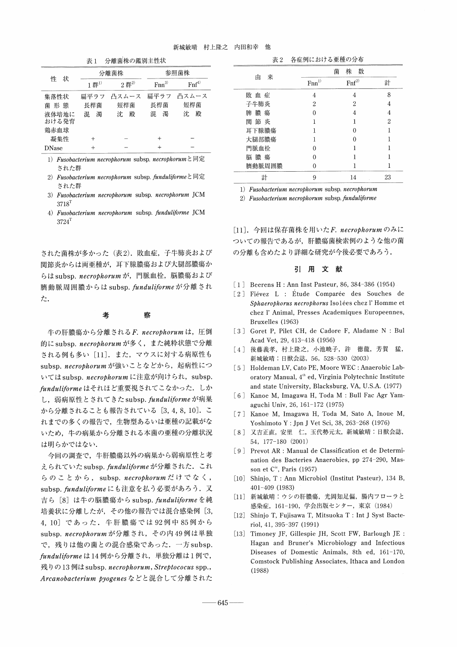表1 分離菌株の鑑別主性状

| 状<br>件         | 分離菌株          |                     | 参照菌株      |            |
|----------------|---------------|---------------------|-----------|------------|
|                | $1$ 群 $^{1)}$ | $2$ 群 <sup>2)</sup> | $Fnn^{3}$ | $Fnf^{4)}$ |
| 集落性状           | 扁平ラフ          | 凸スムース               | 扁平ラフ      | 凸スムース      |
| 菌 形 熊          | 長桿菌           | 短桿菌                 | 長桿菌       | 短桿菌        |
| 液体培地に<br>おける発育 | 濁<br>混        | 殿<br>沈              | 混<br>濁    | 沈<br>殿     |
| 鶏赤血球           |               |                     |           |            |
| 凝集性            |               |                     | $^{+}$    |            |
| <b>DNase</b>   |               |                     | $\ddot{}$ |            |

1) Fusobacterium necrophorum subsp. necrophorumと同定 さ れ た 群

- 2) Fusobacterium necrophorum subsp. funduliformeと同定 された群
- 3)Fusobacterium necrophorum subsp. necrophorum JCM  $3718$ <sup>T</sup>
- 4) Fusobacterium necrophorum subsp. funduliforme JCM  $3724$ <sup>T</sup>

された菌株が多かった(表2). 敗血症,子牛肺炎および 関節炎からは両亜種が,耳下腺膿瘍および大腿部膿瘍か らは subsp. necrophorum が, 門脈血栓, 脳膿瘍および 臍動脈周囲膿からは subsp. funduliformeが分離され た.

#### 考 察

牛の肝膿瘍から分離される F. necrophorumは, 圧倒 的に subsp. necrophorum が多く、また純粋状態で分離 される例も多い [11]. また、マウスに対する病原性も subsp. necrophorum が強いことなどから、起病性につ いては subsp. necrophorum に注意が向けられ, subsp. funduliforme はそれほど重要視されてこなかった. しか し、弱病原性とされてきたsubsp.funduliformeが病巣 から分離されることも報告されている [3,4,8,10]. こ れまでの多くの報告で、生物型あるいは亜種の記載がな いため、牛の病巣から分離される本菌の亜種の分離状況 は明らかではない.

今回の調査で、牛肝膿瘍以外の病巣から弱病原性と考 えられていた subsp. funduliforme が分離された. これ らのことから, subsp.necrophorumだけでなく, subsp. funduliformeにも注意を払う必要があろう. 又 吉ら [8] は牛の脳膿瘍から subsp. funduliforme を純 培養状に分離したが、その他の報告では混合感染例 [3, 4, 10] であった. 牛肝膿瘍では92例中85例から subsp. necrophorum が分離され、その内49例は単独 で、残りは他の菌との混合感染であった. 一方 subsp. funduliforme は14例から分離され、単独分離は1例で, 残りの13例はsubsp.necrophorum, Streptococus spp., Arcanobacterium pyogenes などと混合して分離された

| 表 2    | 各症例における亜種の分布        |                  |    |  |
|--------|---------------------|------------------|----|--|
| 来      | 菌                   | 株<br>数           |    |  |
| 由      | $\mathrm{Fnn}^{1)}$ | Fnf <sup>2</sup> | 計  |  |
| 敗血症    | 4                   | 4                | 8  |  |
| 子牛肺炎   | 2                   | 2                | 4  |  |
| 脾膿瘍    | 0                   | 4                | 4  |  |
| 関節炎    |                     |                  | 2  |  |
| 耳下腺膿瘍  |                     | 0                | 1  |  |
| 大腿部膿瘍  |                     | 0                |    |  |
| 門脈血栓   |                     |                  |    |  |
| 脳 膿 瘍  |                     |                  |    |  |
| 臍動脈周囲膿 |                     |                  |    |  |
| 計      | 9                   | 14               | 23 |  |

1) Fusobacterium necrophorum subsp. necrophorum

2) Fusobacterium necrophorum subsp. funduliforme

[11]. 今回は保存菌株を用いたF. necrophorumのみに ついての報告であるが、肝膿瘍菌検索例のような他の菌 の分離も含めたより詳細な研究が今後必要であろう.

### 引 用 文 献

- [1] Beerens H: Ann Inst Pasteur, 86, 384-386 (1954)
- [2] Fiévez L : Étude Comparée des Souches de Sphaerophorus necrophorus Isolées chez l'Homme et chez 1' Animal, Presses Academiques Europeennes, Bruxelles (1963)
- [3] Goret P, Pilet CH, de Cadore F, Aladame N: Bul Acad Vet, 29, 413-418 (1956)
- [4] 後藤義孝, 村上隆之, 小池暁子, 許 徳龍, 芳賀 猛, 新城敏晴: 日獣会誌, 56, 528-530 (2003)
- [5] Holdeman LV, Cato PE, Moore WEC: Anaerobic Laboratory Manual, 4<sup>th</sup> ed, Virginia Polytechnic Institute and state University, Blacksburg, VA, U.S.A. (1977)
- [6] Kanoe M, Imagawa H, Toda M: Bull Fac Agr Yamaguchi Univ, 26, 161-172 (1975)
- [7] Kanoe M, Imagawa H, Toda M, Sato A, Inoue M, Yoshimoto Y : Jpn J Vet Sci, 38, 263-268 (1976)
- [8] 又吉正直, 安里 仁, 玉代勢元太, 新城敏晴: 日獣会誌, 54, 177-180 (2001)
- [9] Prevot AR: Manual de Classification et de Determination des Bacteries Anaerobies, pp274-290, Masson et C<sup>ie</sup>, Paris (1957)
- [10] Shinjo, T: Ann Microbiol (Institut Pasteur), 134 B, 401-409 (1983)
- [11] 新城敏晴:ウシの肝膿瘍, 光岡知足偏, 腸内フローラと 感染症, 161-190, 学会出版センター, 東京 (1984)
- [12] Shinjo T, Fujisawa T, Mitsuoka T: Int J Syst Bacteriol, 41, 395-397 (1991)
- [13] Timoney JF, Gillespie JH, Scott FW, Barlough JE: Hagan and Bruner's Microbiology and Infectious Diseases of Domestic Animals, 8th ed, 161-170, Comstock Publishing Associates, Ithaca and London (1988)

 $645 -$